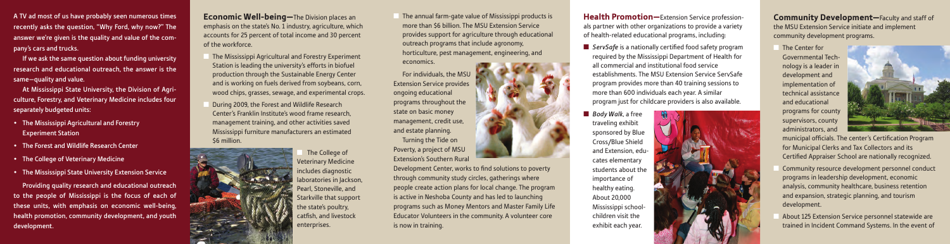A TV ad most of us have probably seen numerous times recently asks the question, "Why Ford, why now?" The answer we're given is the quality and value of the company's cars and trucks.

At Mississippi State University, the Division of Agriculture, Forestry, and Veterinary Medicine includes four separately budgeted units:

If we ask the same question about funding university research and educational outreach, the answer is the same—quality and value.

- The Mississippi Agricultural and Forestry Experiment Station
- The Forest and Wildlife Research Center
- The College of Veterinary Medicine
- The Mississippi State University Extension Service

The Mississippi Agricultural and Forestry Experiment Station is leading the university's efforts in biofuel production through the Sustainable Energy Center and is working on fuels derived from soybeans, corn, wood chips, grasses, sewage, and experimental crops.

Providing quality research and educational outreach to the people of Mississippi is the focus of each of these units, with emphasis on economic well-being, health promotion, community development, and youth development.

During 2009, the Forest and Wildlife Research Center's Franklin Institute's wood frame research, management training, and other activities saved Mississippi furniture manufacturers an estimated \$6 million.



The College of Veterinary Medicine includes diagnostic laboratories in Jackson, Pearl, Stoneville, and Starkville that support the state's poultry, catfish, and livestock enterprises.

**Economic Well-being—**The Division places an emphasis on the state's No. 1 industry, agriculture, which accounts for 25 percent of total income and 30 percent of the workforce.

The annual farm-gate value of Mississippi products is more than \$6 billion. The MSU Extension Service provides support for agriculture through educational outreach programs that include agronomy, horticulture, pest management, engineering, and economics.

**n** *ServSafe* is a nationally certified food safety program required by the Mississippi Department of Health for all commercial and institutional food service establishments. The MSU Extension Service ServSafe program provides more than 40 training sessions to more than 600 individuals each year. A similar program just for childcare providers is also available.

**n** *Body Walk*, a free traveling exhibit sponsored by Blue Cross/Blue Shield and Extension, educates elementary students about the importance of healthy eating. About 20,000 Mississippi schoolchildren visit the exhibit each year.

- 
- 



**Community Development**—Faculty and staff of the MSU Extension Service initiate and implement community development programs.

**The Center for** Governmental Technology is a leader in development and implementation of technical assistance and educational programs for county supervisors, county administrators, and



- Community resource development personnel conduct programs in leadership development, economic analysis, community healthcare, business retention and expansion, strategic planning, and tourism development.
- n About 125 Extension Service personnel statewide are trained in Incident Command Systems. In the event of

For individuals, the MSU Extension Service provides ongoing educational programs throughout the state on basic money management, credit use, and estate planning. Turning the Tide on Poverty, a project of MSU Extension's Southern Rural

Development Center, works to find solutions to poverty through community study circles, gatherings where people create action plans for local change. The program is active in Neshoba County and has led to launching programs such as Money Mentors and Master Family Life Educator Volunteers in the community. A volunteer core is now in training.

**Health Promotion—**Extension Service professionals partner with other organizations to provide a variety of health-related educational programs, including:

> municipal officials. The center's Certification Program for Municipal Clerks and Tax Collectors and its Certified Appraiser School are nationally recognized.